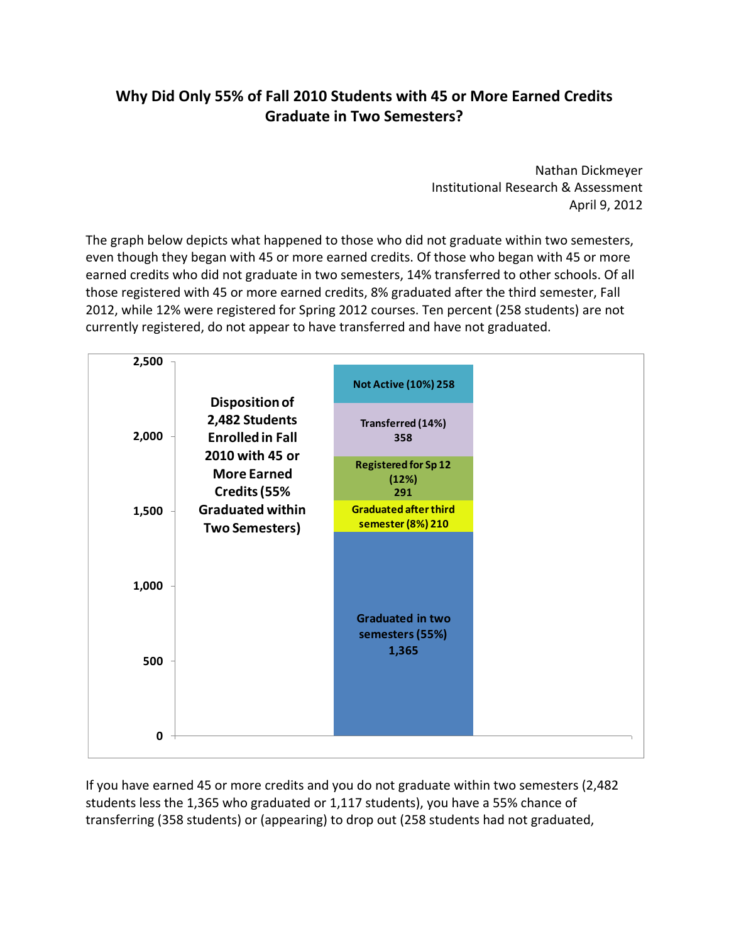## **Why Did Only 55% of Fall 2010 Students with 45 or More Earned Credits Graduate in Two Semesters?**

 Nathan Dickmeyer Institutional Research & Assessment April 9, 2012

 The graph below depicts what happened to those who did not graduate within two semesters, even though they began with 45 or more earned credits. Of those who began with 45 or more earned credits who did not graduate in two semesters, 14% transferred to other schools. Of all those registered with 45 or more earned credits, 8% graduated after the third semester, Fall currently registered, do not appear to have transferred and have not graduated. 2012, while 12% were registered for Spring 2012 courses. Ten percent (258 students) are not

| 2,500        |                                                                                                                             | <b>Not Active (10%) 258</b>                         |  |
|--------------|-----------------------------------------------------------------------------------------------------------------------------|-----------------------------------------------------|--|
| 2,000        | <b>Disposition of</b><br>2,482 Students<br><b>Enrolled in Fall</b><br>2010 with 45 or<br><b>More Earned</b><br>Credits (55% | Transferred (14%)<br>358                            |  |
|              |                                                                                                                             | <b>Registered for Sp 12</b><br>(12%)<br>291         |  |
| 1,500        | <b>Graduated within</b><br><b>Two Semesters)</b>                                                                            | <b>Graduated after third</b><br>semester (8%) 210   |  |
| 1,000<br>500 |                                                                                                                             | <b>Graduated in two</b><br>semesters (55%)<br>1,365 |  |
| 0            |                                                                                                                             |                                                     |  |

 If you have earned 45 or more credits and you do not graduate within two semesters (2,482 students less the 1,365 who graduated or 1,117 students), you have a 55% chance of transferring (358 students) or (appearing) to drop out (258 students had not graduated,